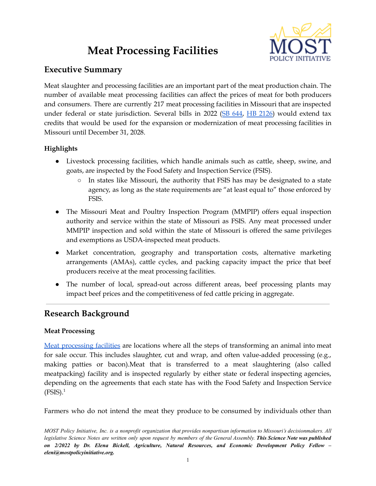# **Meat Processing Facilities**



## **Executive Summary**

Meat slaughter and processing facilities are an important part of the meat production chain. The number of available meat processing facilities can affect the prices of meat for both producers and consumers. There are currently 217 meat processing facilities in Missouri that are inspected under federal or state jurisdiction. Several bills in  $2022$  ( $SB$  [644,](https://www.senate.mo.gov/22info/bts_web/Bill.aspx?SessionType=R&BillID=71259797)  $HB$  [2126](https://house.mo.gov/Bill.aspx?bill=HB2126&year=2022&code=R)) would extend tax credits that would be used for the expansion or modernization of meat processing facilities in Missouri until December 31, 2028.

## **Highlights**

- Livestock processing facilities, which handle animals such as cattle, sheep, swine, and goats, are inspected by the Food Safety and Inspection Service (FSIS).
	- In states like Missouri, the authority that FSIS has may be designated to a state agency, as long as the state requirements are "at least equal to" those enforced by FSIS.
- The Missouri Meat and Poultry Inspection Program (MMPIP) offers equal inspection authority and service within the state of Missouri as FSIS. Any meat processed under MMPIP inspection and sold within the state of Missouri is offered the same privileges and exemptions as USDA-inspected meat products.
- Market concentration, geography and transportation costs, alternative marketing arrangements (AMAs), cattle cycles, and packing capacity impact the price that beef producers receive at the meat processing facilities.
- The number of local, spread-out across different areas, beef processing plants may impact beef prices and the competitiveness of fed cattle pricing in aggregate.

# **Research Background**

## **Meat Processing**

Meat [processing](https://revisor.mo.gov/main/OneSection.aspx?section=135.686) facilities are locations where all the steps of transforming an animal into meat for sale occur. This includes slaughter, cut and wrap, and often value-added processing (e.g., making patties or bacon).Meat that is transferred to a meat slaughtering (also called meatpacking) facility and is inspected regularly by either state or federal inspecting agencies, depending on the agreements that each state has with the Food Safety and Inspection Service  $(FSIS).<sup>1</sup>$ 

Farmers who do not intend the meat they produce to be consumed by individuals other than

MOST Policy Initiative, Inc. is a nonprofit organization that provides nonpartisan information to Missouri's decisionmakers. All legislative Science Notes are written only upon request by members of the General Assembly. This Science Note was published *on 2/2022 by Dr. Elena Bickell, Agriculture, Natural Resources, and Economic Development Policy Fellow – eleni@mostpolicyinitiative.org.*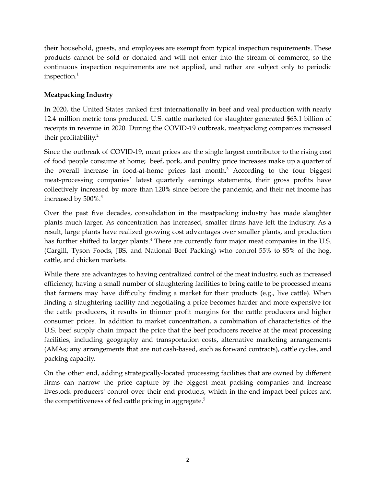their household, guests, and employees are exempt from typical inspection requirements. These products cannot be sold or donated and will not enter into the stream of commerce, so the continuous inspection requirements are not applied, and rather are subject only to periodic inspection. 1

## **Meatpacking Industry**

In 2020, the United States ranked first internationally in beef and veal production with nearly 12.4 million metric tons produced. U.S. cattle marketed for slaughter generated \$63.1 billion of receipts in revenue in 2020. During the COVID-19 outbreak, meatpacking companies increased their profitability. 2

Since the outbreak of COVID-19, meat prices are the single largest contributor to the rising cost of food people consume at home; beef, pork, and poultry price increases make up a quarter of the overall increase in food-at-home prices last month. <sup>3</sup> According to the four biggest meat-processing companies' latest quarterly earnings statements, their gross profits have collectively increased by more than 120% since before the pandemic, and their net income has increased by 500%. 3

Over the past five decades, consolidation in the meatpacking industry has made slaughter plants much larger. As concentration has increased, smaller firms have left the industry. As a result, large plants have realized growing cost advantages over smaller plants, and production has further shifted to larger plants.<sup>4</sup> There are currently four major meat companies in the U.S. (Cargill, Tyson Foods, JBS, and National Beef Packing) who control 55% to 85% of the hog, cattle, and chicken markets.

While there are advantages to having centralized control of the meat industry, such as increased efficiency, having a small number of slaughtering facilities to bring cattle to be processed means that farmers may have difficulty finding a market for their products (e.g., live cattle). When finding a slaughtering facility and negotiating a price becomes harder and more expensive for the cattle producers, it results in thinner profit margins for the cattle producers and higher consumer prices. In addition to market concentration, a combination of characteristics of the U.S. beef supply chain impact the price that the beef producers receive at the meat processing facilities, including geography and transportation costs, alternative marketing arrangements (AMAs; any arrangements that are not cash-based, such as forward contracts), cattle cycles, and packing capacity.

On the other end, adding strategically-located processing facilities that are owned by different firms can narrow the price capture by the biggest meat packing companies and increase livestock producers' control over their end products, which in the end impact beef prices and the competitiveness of fed cattle pricing in aggregate.<sup>5</sup>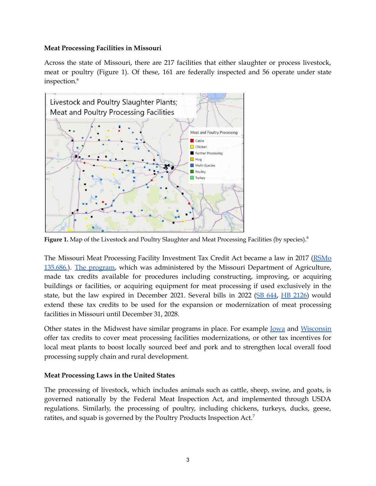#### **Meat Processing Facilities in Missouri**

Across the state of Missouri, there are 217 facilities that either slaughter or process livestock, meat or poultry (Figure 1). Of these, 161 are federally inspected and 56 operate under state inspection. 6



**Figure 1.** Map of the Livestock and Poultry Slaughter and Meat Processing Facilities (by species). 6

The Missouri Meat Processing Facility Investment Tax Credit Act became a law in 2017 [\(RSMo](https://revisor.mo.gov/main/OneSection.aspx?section=135.686) [135.686.](https://revisor.mo.gov/main/OneSection.aspx?section=135.686)). The [program,](https://agriculture.mo.gov/abd/financial/meatprocessingfacility.php) which was administered by the Missouri Department of Agriculture, made tax credits available for procedures including constructing, improving, or acquiring buildings or facilities, or acquiring equipment for meat processing if used exclusively in the state, but the law expired in December 2021. Several bills in 2022 (SB [644,](https://www.senate.mo.gov/22info/bts_web/Bill.aspx?SessionType=R&BillID=71259797) HB [2126\)](https://house.mo.gov/Bill.aspx?bill=HB2126&year=2022&code=R) would extend these tax credits to be used for the expansion or modernization of meat processing facilities in Missouri until December 31, 2028.

Other states in the Midwest have similar programs in place. For example <u>[Iowa](https://www.iowaeda.com/iowa-news/board-action-expansion-of-small-meat-processors-bolsters-iowa-farming-and-manufacturing-meets-cons/)</u> and [Wisconsin](https://docs.legis.wisconsin.gov/code/register/2011/670b/remove/comm134) offer tax credits to cover meat processing facilities modernizations, or other tax incentives for local meat plants to boost locally sourced beef and pork and to strengthen local overall food processing supply chain and rural development.

#### **Meat Processing Laws in the United States**

The processing of livestock, which includes animals such as cattle, sheep, swine, and goats, is governed nationally by the Federal Meat Inspection Act, and implemented through USDA regulations. Similarly, the processing of poultry, including chickens, turkeys, ducks, geese, ratites, and squab is governed by the Poultry Products Inspection Act.<sup>7</sup>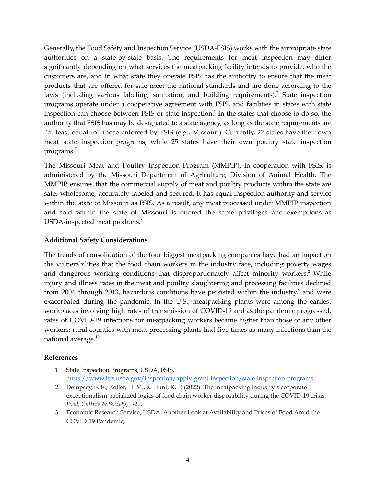Generally, the Food Safety and Inspection Service (USDA-FSIS) works with the appropriate state authorities on a state-by-state basis. The requirements for meat inspection may differ significantly depending on what services the meatpacking facility intends to provide, who the customers are, and in what state they operate FSIS has the authority to ensure that the meat products that are offered for sale meet the national standards and are done according to the laws (including various labeling, sanitation, and building requirements).<sup>7</sup> State inspection programs operate under a cooperative agreement with FSIS, and facilities in states with state inspection can choose between FSIS or state inspection. 1 In the states that choose to do so, the authority that FSIS has may be designated to a state agency, as long as the state requirements are "at least equal to" those enforced by FSIS (e.g., Missouri). Currently, 27 states have their own meat state inspection programs, while 25 states have their own poultry state inspection programs. 7

The Missouri Meat and Poultry Inspection Program (MMPIP), in cooperation with FSIS, is administered by the Missouri Department of Agriculture, Division of Animal Health. The MMPIP ensures that the commercial supply of meat and poultry products within the state are safe, wholesome, accurately labeled and secured. It has equal inspection authority and service within the state of Missouri as FSIS. As a result, any meat processed under MMPIP inspection and sold within the state of Missouri is offered the same privileges and exemptions as USDA-inspected meat products.<sup>8</sup>

### **Additional Safety Considerations**

The trends of consolidation of the four biggest meatpacking companies have had an impact on the vulnerabilities that the food chain workers in the industry face, including poverty wages and dangerous working conditions that disproportionately affect minority workers. <sup>2</sup> While injury and illness rates in the meat and poultry slaughtering and processing facilities declined from 2004 through 2013, hazardous conditions have persisted within the industry,<sup>9</sup> and were exacerbated during the pandemic. In the U.S., meatpacking plants were among the earliest workplaces involving high rates of transmission of COVID-19 and as the pandemic progressed, rates of COVID-19 infections for meatpacking workers became higher than those of any other workers; rural counties with meat processing plants had five times as many infections than the national average. 10

#### **References**

- 1. State Inspection Programs, USDA, FSIS, <https://www.fsis.usda.gov/inspection/apply-grant-inspection/state-inspection-programs>
- 2. Dempsey, S. E., Zoller, H. M., & Hunt, K. P. (2022). The meatpacking industry's corporate exceptionalism: racialized logics of food chain worker disposability during the COVID-19 crisis. *Food, Culture & Society*, 1-20.
- 3. Economic Research Service, USDA, Another Look at Availability and Prices of Food Amid the COVID-19 Pandemic,